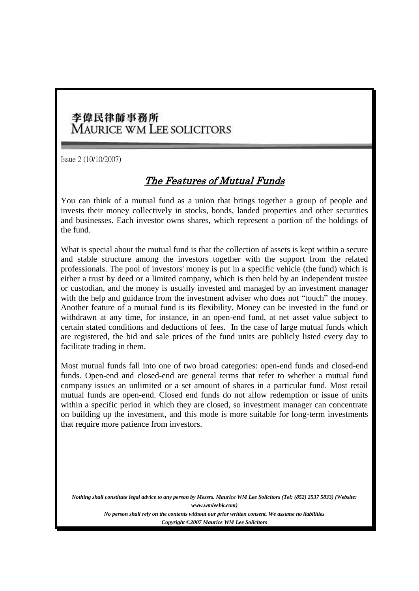## 李偉民律師事務所 **MAURICE WM LEE SOLICITORS**

Issue 2 (10/10/2007)

## The Features of Mutual Funds

You can think of a mutual fund as a union that brings together a group of people and invests their money collectively in stocks, bonds, landed properties and other securities and businesses. Each investor owns shares, which represent a portion of the holdings of the fund.

What is special about the mutual fund is that the collection of assets is kept within a secure and stable structure among the investors together with the support from the related professionals. The pool of investors' money is put in a specific vehicle (the fund) which is either a trust by deed or a limited company, which is then held by an independent trustee or custodian, and the money is usually invested and managed by an investment manager with the help and guidance from the investment adviser who does not "touch" the money. Another feature of a mutual fund is its flexibility. Money can be invested in the fund or withdrawn at any time, for instance, in an open-end fund, at net asset value subject to certain stated conditions and deductions of fees. In the case of large mutual funds which are registered, the bid and sale prices of the fund units are publicly listed every day to facilitate trading in them.

Most mutual funds fall into one of two broad categories: open-end funds and closed-end funds. Open-end and closed-end are general terms that refer to whether a mutual fund company issues an unlimited or a set amount of shares in a particular fund. Most retail mutual funds are open-end. Closed end funds do not allow redemption or issue of units within a specific period in which they are closed, so investment manager can concentrate on building up the investment, and this mode is more suitable for long-term investments that require more patience from investors.

*Nothing shall constitute legal advice to any person by Messrs. Maurice WM Lee Solicitors (Tel: (852) 2537 5833) (Website: www.wmleehk.com) No person shall rely on the contents without our prior written consent. We assume no liabilities Copyright © 2007 Maurice WM Lee Solicitors*